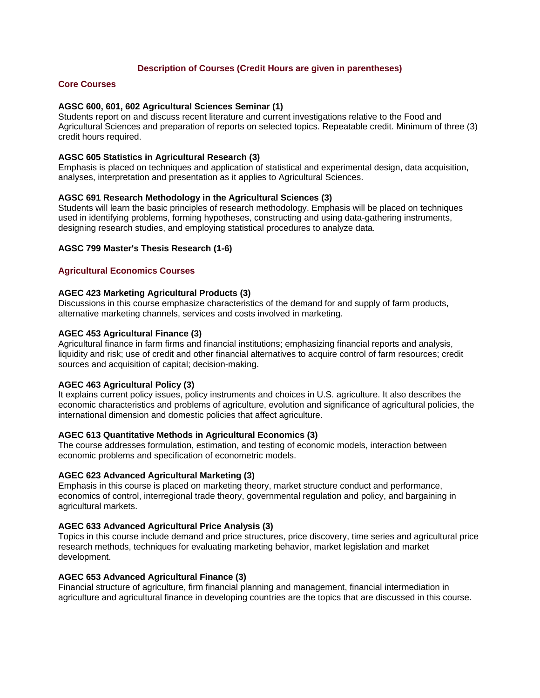## **Description of Courses (Credit Hours are given in parentheses)**

### **Core Courses**

### **AGSC 600, 601, 602 Agricultural Sciences Seminar (1)**

Students report on and discuss recent literature and current investigations relative to the Food and Agricultural Sciences and preparation of reports on selected topics. Repeatable credit. Minimum of three (3) credit hours required.

### **AGSC 605 Statistics in Agricultural Research (3)**

Emphasis is placed on techniques and application of statistical and experimental design, data acquisition, analyses, interpretation and presentation as it applies to Agricultural Sciences.

### **AGSC 691 Research Methodology in the Agricultural Sciences (3)**

Students will learn the basic principles of research methodology. Emphasis will be placed on techniques used in identifying problems, forming hypotheses, constructing and using data-gathering instruments, designing research studies, and employing statistical procedures to analyze data.

### **AGSC 799 Master's Thesis Research (1-6)**

### **Agricultural Economics Courses**

### **AGEC 423 Marketing Agricultural Products (3)**

Discussions in this course emphasize characteristics of the demand for and supply of farm products, alternative marketing channels, services and costs involved in marketing.

### **AGEC 453 Agricultural Finance (3)**

Agricultural finance in farm firms and financial institutions; emphasizing financial reports and analysis, liquidity and risk; use of credit and other financial alternatives to acquire control of farm resources; credit sources and acquisition of capital; decision-making.

## **AGEC 463 Agricultural Policy (3)**

It explains current policy issues, policy instruments and choices in U.S. agriculture. It also describes the economic characteristics and problems of agriculture, evolution and significance of agricultural policies, the international dimension and domestic policies that affect agriculture.

#### **AGEC 613 Quantitative Methods in Agricultural Economics (3)**

The course addresses formulation, estimation, and testing of economic models, interaction between economic problems and specification of econometric models.

### **AGEC 623 Advanced Agricultural Marketing (3)**

Emphasis in this course is placed on marketing theory, market structure conduct and performance, economics of control, interregional trade theory, governmental regulation and policy, and bargaining in agricultural markets.

### **AGEC 633 Advanced Agricultural Price Analysis (3)**

Topics in this course include demand and price structures, price discovery, time series and agricultural price research methods, techniques for evaluating marketing behavior, market legislation and market development.

### **AGEC 653 Advanced Agricultural Finance (3)**

Financial structure of agriculture, firm financial planning and management, financial intermediation in agriculture and agricultural finance in developing countries are the topics that are discussed in this course.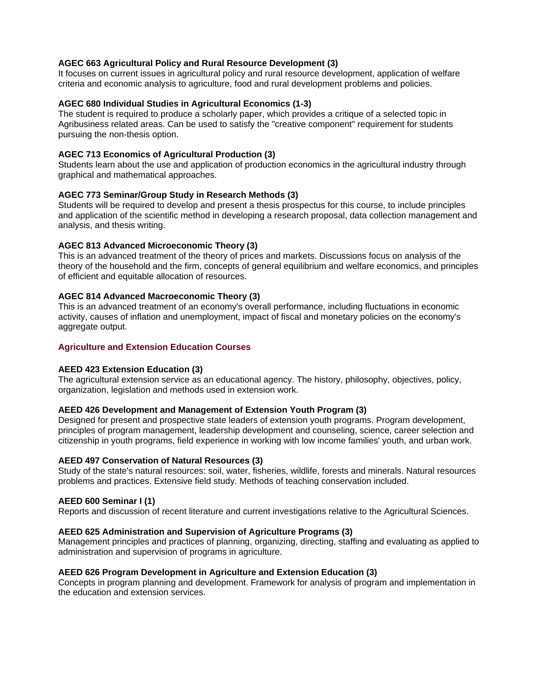## **AGEC 663 Agricultural Policy and Rural Resource Development (3)**

It focuses on current issues in agricultural policy and rural resource development, application of welfare criteria and economic analysis to agriculture, food and rural development problems and policies.

### **AGEC 680 Individual Studies in Agricultural Economics (1-3)**

The student is required to produce a scholarly paper, which provides a critique of a selected topic in Agribusiness related areas. Can be used to satisfy the "creative component" requirement for students pursuing the non-thesis option.

## **AGEC 713 Economics of Agricultural Production (3)**

Students learn about the use and application of production economics in the agricultural industry through graphical and mathematical approaches.

## **AGEC 773 Seminar/Group Study in Research Methods (3)**

Students will be required to develop and present a thesis prospectus for this course, to include principles and application of the scientific method in developing a research proposal, data collection management and analysis, and thesis writing.

## **AGEC 813 Advanced Microeconomic Theory (3)**

This is an advanced treatment of the theory of prices and markets. Discussions focus on analysis of the theory of the household and the firm, concepts of general equilibrium and welfare economics, and principles of efficient and equitable allocation of resources.

## **AGEC 814 Advanced Macroeconomic Theory (3)**

This is an advanced treatment of an economy's overall performance, including fluctuations in economic activity, causes of inflation and unemployment, impact of fiscal and monetary policies on the economy's aggregate output.

## **Agriculture and Extension Education Courses**

### **AEED 423 Extension Education (3)**

The agricultural extension service as an educational agency. The history, philosophy, objectives, policy, organization, legislation and methods used in extension work.

### **AEED 426 Development and Management of Extension Youth Program (3)**

Designed for present and prospective state leaders of extension youth programs. Program development, principles of program management, leadership development and counseling, science, career selection and citizenship in youth programs, field experience in working with low income families' youth, and urban work.

### **AEED 497 Conservation of Natural Resources (3)**

Study of the state's natural resources: soil, water, fisheries, wildlife, forests and minerals. Natural resources problems and practices. Extensive field study. Methods of teaching conservation included.

### **AEED 600 Seminar I (1)**

Reports and discussion of recent literature and current investigations relative to the Agricultural Sciences.

### **AEED 625 Administration and Supervision of Agriculture Programs (3)**

Management principles and practices of planning, organizing, directing, staffing and evaluating as applied to administration and supervision of programs in agriculture.

### **AEED 626 Program Development in Agriculture and Extension Education (3)**

Concepts in program planning and development. Framework for analysis of program and implementation in the education and extension services.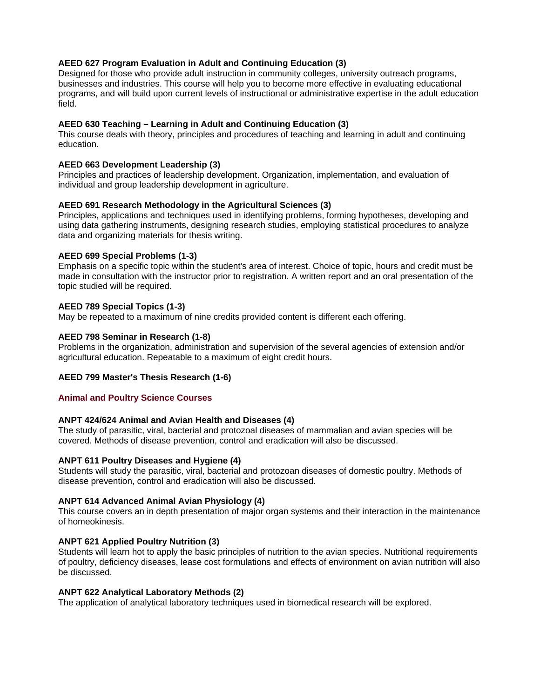## **AEED 627 Program Evaluation in Adult and Continuing Education (3)**

Designed for those who provide adult instruction in community colleges, university outreach programs, businesses and industries. This course will help you to become more effective in evaluating educational programs, and will build upon current levels of instructional or administrative expertise in the adult education field.

## **AEED 630 Teaching – Learning in Adult and Continuing Education (3)**

This course deals with theory, principles and procedures of teaching and learning in adult and continuing education.

## **AEED 663 Development Leadership (3)**

Principles and practices of leadership development. Organization, implementation, and evaluation of individual and group leadership development in agriculture.

## **AEED 691 Research Methodology in the Agricultural Sciences (3)**

Principles, applications and techniques used in identifying problems, forming hypotheses, developing and using data gathering instruments, designing research studies, employing statistical procedures to analyze data and organizing materials for thesis writing.

## **AEED 699 Special Problems (1-3)**

Emphasis on a specific topic within the student's area of interest. Choice of topic, hours and credit must be made in consultation with the instructor prior to registration. A written report and an oral presentation of the topic studied will be required.

## **AEED 789 Special Topics (1-3)**

May be repeated to a maximum of nine credits provided content is different each offering.

## **AEED 798 Seminar in Research (1-8)**

Problems in the organization, administration and supervision of the several agencies of extension and/or agricultural education. Repeatable to a maximum of eight credit hours.

## **AEED 799 Master's Thesis Research (1-6)**

### **Animal and Poultry Science Courses**

### **ANPT 424/624 Animal and Avian Health and Diseases (4)**

The study of parasitic, viral, bacterial and protozoal diseases of mammalian and avian species will be covered. Methods of disease prevention, control and eradication will also be discussed.

### **ANPT 611 Poultry Diseases and Hygiene (4)**

Students will study the parasitic, viral, bacterial and protozoan diseases of domestic poultry. Methods of disease prevention, control and eradication will also be discussed.

### **ANPT 614 Advanced Animal Avian Physiology (4)**

This course covers an in depth presentation of major organ systems and their interaction in the maintenance of homeokinesis.

### **ANPT 621 Applied Poultry Nutrition (3)**

Students will learn hot to apply the basic principles of nutrition to the avian species. Nutritional requirements of poultry, deficiency diseases, lease cost formulations and effects of environment on avian nutrition will also be discussed.

### **ANPT 622 Analytical Laboratory Methods (2)**

The application of analytical laboratory techniques used in biomedical research will be explored.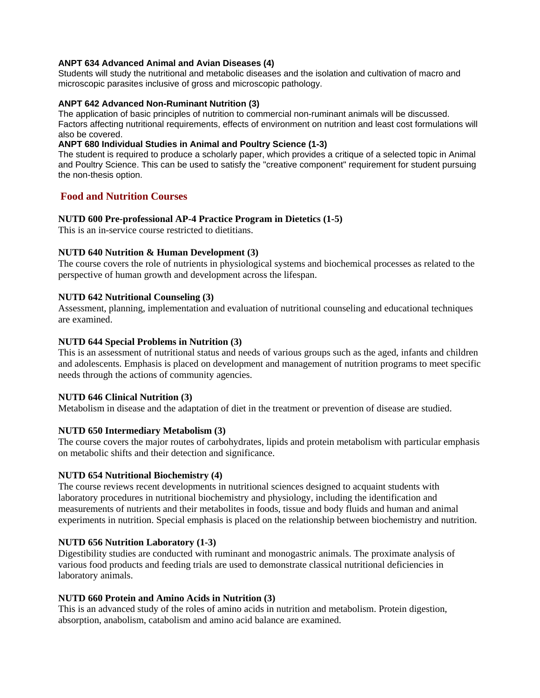## **ANPT 634 Advanced Animal and Avian Diseases (4)**

Students will study the nutritional and metabolic diseases and the isolation and cultivation of macro and microscopic parasites inclusive of gross and microscopic pathology.

## **ANPT 642 Advanced Non-Ruminant Nutrition (3)**

The application of basic principles of nutrition to commercial non-ruminant animals will be discussed. Factors affecting nutritional requirements, effects of environment on nutrition and least cost formulations will also be covered.

### **ANPT 680 Individual Studies in Animal and Poultry Science (1-3)**

The student is required to produce a scholarly paper, which provides a critique of a selected topic in Animal and Poultry Science. This can be used to satisfy the "creative component" requirement for student pursuing the non-thesis option.

## **Food and Nutrition Courses**

## **NUTD 600 Pre-professional AP-4 Practice Program in Dietetics (1-5)**

This is an in-service course restricted to dietitians.

## **NUTD 640 Nutrition & Human Development (3)**

The course covers the role of nutrients in physiological systems and biochemical processes as related to the perspective of human growth and development across the lifespan.

## **NUTD 642 Nutritional Counseling (3)**

Assessment, planning, implementation and evaluation of nutritional counseling and educational techniques are examined.

## **NUTD 644 Special Problems in Nutrition (3)**

This is an assessment of nutritional status and needs of various groups such as the aged, infants and children and adolescents. Emphasis is placed on development and management of nutrition programs to meet specific needs through the actions of community agencies.

## **NUTD 646 Clinical Nutrition (3)**

Metabolism in disease and the adaptation of diet in the treatment or prevention of disease are studied.

## **NUTD 650 Intermediary Metabolism (3)**

The course covers the major routes of carbohydrates, lipids and protein metabolism with particular emphasis on metabolic shifts and their detection and significance.

## **NUTD 654 Nutritional Biochemistry (4)**

The course reviews recent developments in nutritional sciences designed to acquaint students with laboratory procedures in nutritional biochemistry and physiology, including the identification and measurements of nutrients and their metabolites in foods, tissue and body fluids and human and animal experiments in nutrition. Special emphasis is placed on the relationship between biochemistry and nutrition.

### **NUTD 656 Nutrition Laboratory (1-3)**

Digestibility studies are conducted with ruminant and monogastric animals. The proximate analysis of various food products and feeding trials are used to demonstrate classical nutritional deficiencies in laboratory animals.

### **NUTD 660 Protein and Amino Acids in Nutrition (3)**

This is an advanced study of the roles of amino acids in nutrition and metabolism. Protein digestion, absorption, anabolism, catabolism and amino acid balance are examined.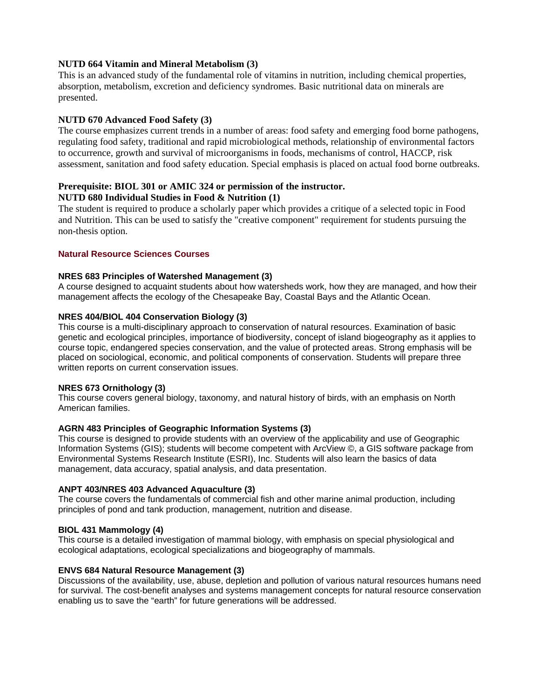## **NUTD 664 Vitamin and Mineral Metabolism (3)**

This is an advanced study of the fundamental role of vitamins in nutrition, including chemical properties, absorption, metabolism, excretion and deficiency syndromes. Basic nutritional data on minerals are presented.

## **NUTD 670 Advanced Food Safety (3)**

The course emphasizes current trends in a number of areas: food safety and emerging food borne pathogens, regulating food safety, traditional and rapid microbiological methods, relationship of environmental factors to occurrence, growth and survival of microorganisms in foods, mechanisms of control, HACCP, risk assessment, sanitation and food safety education. Special emphasis is placed on actual food borne outbreaks.

# **Prerequisite: BIOL 301 or AMIC 324 or permission of the instructor.**

## **NUTD 680 Individual Studies in Food & Nutrition (1)**

The student is required to produce a scholarly paper which provides a critique of a selected topic in Food and Nutrition. This can be used to satisfy the "creative component" requirement for students pursuing the non-thesis option.

## **Natural Resource Sciences Courses**

### **NRES 683 Principles of Watershed Management (3)**

A course designed to acquaint students about how watersheds work, how they are managed, and how their management affects the ecology of the Chesapeake Bay, Coastal Bays and the Atlantic Ocean.

## **NRES 404/BIOL 404 Conservation Biology (3)**

This course is a multi-disciplinary approach to conservation of natural resources. Examination of basic genetic and ecological principles, importance of biodiversity, concept of island biogeography as it applies to course topic, endangered species conservation, and the value of protected areas. Strong emphasis will be placed on sociological, economic, and political components of conservation. Students will prepare three written reports on current conservation issues.

### **NRES 673 Ornithology (3)**

This course covers general biology, taxonomy, and natural history of birds, with an emphasis on North American families.

## **AGRN 483 Principles of Geographic Information Systems (3)**

This course is designed to provide students with an overview of the applicability and use of Geographic Information Systems (GIS); students will become competent with ArcView ©, a GIS software package from Environmental Systems Research Institute (ESRI), Inc. Students will also learn the basics of data management, data accuracy, spatial analysis, and data presentation.

### **ANPT 403/NRES 403 Advanced Aquaculture (3)**

The course covers the fundamentals of commercial fish and other marine animal production, including principles of pond and tank production, management, nutrition and disease.

## **BIOL 431 Mammology (4)**

This course is a detailed investigation of mammal biology, with emphasis on special physiological and ecological adaptations, ecological specializations and biogeography of mammals.

### **ENVS 684 Natural Resource Management (3)**

Discussions of the availability, use, abuse, depletion and pollution of various natural resources humans need for survival. The cost-benefit analyses and systems management concepts for natural resource conservation enabling us to save the "earth" for future generations will be addressed.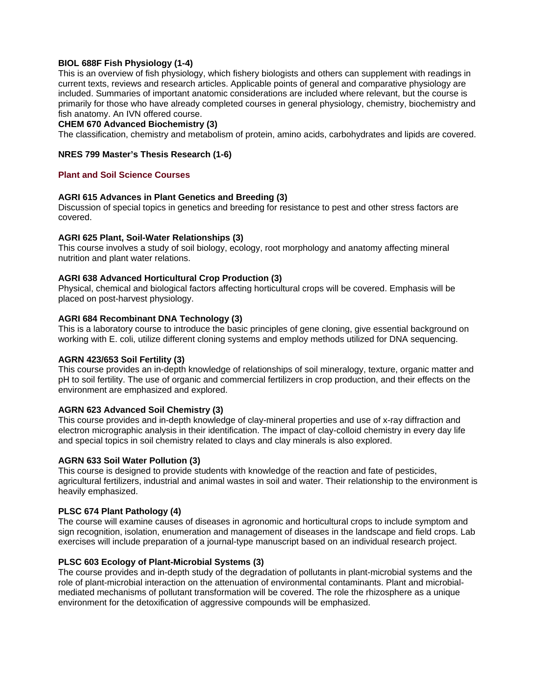## **BIOL 688F Fish Physiology (1-4)**

This is an overview of fish physiology, which fishery biologists and others can supplement with readings in current texts, reviews and research articles. Applicable points of general and comparative physiology are included. Summaries of important anatomic considerations are included where relevant, but the course is primarily for those who have already completed courses in general physiology, chemistry, biochemistry and fish anatomy. An IVN offered course.

### **CHEM 670 Advanced Biochemistry (3)**

The classification, chemistry and metabolism of protein, amino acids, carbohydrates and lipids are covered.

### **NRES 799 Master's Thesis Research (1-6)**

### **Plant and Soil Science Courses**

### **AGRI 615 Advances in Plant Genetics and Breeding (3)**

Discussion of special topics in genetics and breeding for resistance to pest and other stress factors are covered.

### **AGRI 625 Plant, Soil-Water Relationships (3)**

This course involves a study of soil biology, ecology, root morphology and anatomy affecting mineral nutrition and plant water relations.

### **AGRI 638 Advanced Horticultural Crop Production (3)**

Physical, chemical and biological factors affecting horticultural crops will be covered. Emphasis will be placed on post-harvest physiology.

### **AGRI 684 Recombinant DNA Technology (3)**

This is a laboratory course to introduce the basic principles of gene cloning, give essential background on working with E. coli, utilize different cloning systems and employ methods utilized for DNA sequencing.

#### **AGRN 423/653 Soil Fertility (3)**

This course provides an in-depth knowledge of relationships of soil mineralogy, texture, organic matter and pH to soil fertility. The use of organic and commercial fertilizers in crop production, and their effects on the environment are emphasized and explored.

### **AGRN 623 Advanced Soil Chemistry (3)**

This course provides and in-depth knowledge of clay-mineral properties and use of x-ray diffraction and electron micrographic analysis in their identification. The impact of clay-colloid chemistry in every day life and special topics in soil chemistry related to clays and clay minerals is also explored.

#### **AGRN 633 Soil Water Pollution (3)**

This course is designed to provide students with knowledge of the reaction and fate of pesticides, agricultural fertilizers, industrial and animal wastes in soil and water. Their relationship to the environment is heavily emphasized.

### **PLSC 674 Plant Pathology (4)**

The course will examine causes of diseases in agronomic and horticultural crops to include symptom and sign recognition, isolation, enumeration and management of diseases in the landscape and field crops. Lab exercises will include preparation of a journal-type manuscript based on an individual research project.

## **PLSC 603 Ecology of Plant-Microbial Systems (3)**

The course provides and in-depth study of the degradation of pollutants in plant-microbial systems and the role of plant-microbial interaction on the attenuation of environmental contaminants. Plant and microbialmediated mechanisms of pollutant transformation will be covered. The role the rhizosphere as a unique environment for the detoxification of aggressive compounds will be emphasized.